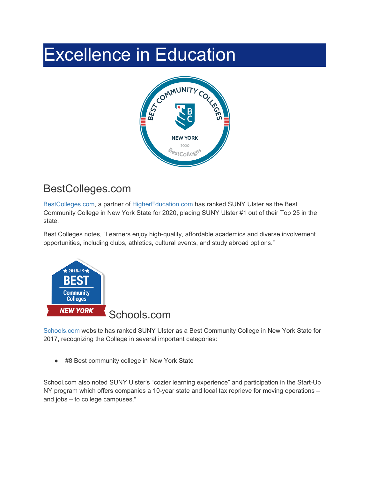## Excellence in Education



## BestColleges.com

[BestColleges.com,](https://www.bestcolleges.com/features/best-community-colleges-in-new-york/) a partner of [HigherEducation.com](http://www.highereducation.com/) has ranked SUNY Ulster as the Best Community College in New York State for 2020, placing SUNY Ulster #1 out of their Top 25 in the state.

Best Colleges notes, "Learners enjoy high-quality, affordable academics and diverse involvement opportunities, including clubs, athletics, cultural events, and study abroad options."



[Schools.com](http://www.schools.com/community-colleges/top-community-colleges-in-new-york) website has ranked SUNY Ulster as a Best Community College in New York State for 2017, recognizing the College in several important categories:

● #8 Best community college in New York State

School.com also noted SUNY Ulster's "cozier learning experience" and participation in the Start-Up NY program which offers companies a 10-year state and local tax reprieve for moving operations – and jobs – to college campuses."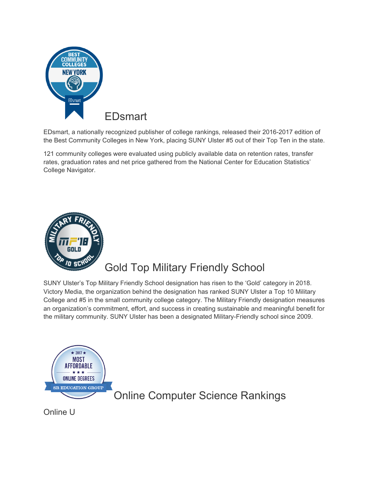

EDsmart, a nationally recognized publisher of college rankings, released their 2016-2017 edition of the Best Community Colleges in New York, placing SUNY Ulster #5 out of their Top Ten in the state.

121 community colleges were evaluated using publicly available data on retention rates, transfer rates, graduation rates and net price gathered from the National Center for Education Statistics' College Navigator.



## Gold Top Military Friendly School

SUNY Ulster's Top Military Friendly School designation has risen to the 'Gold' category in 2018. Victory Media, the organization behind the designation has ranked SUNY Ulster a Top 10 Military College and #5 in the small community college category. The Military Friendly designation measures an organization's commitment, effort, and success in creating sustainable and meaningful benefit for the military community. SUNY Ulster has been a designated Military-Friendly school since 2009.



Online U